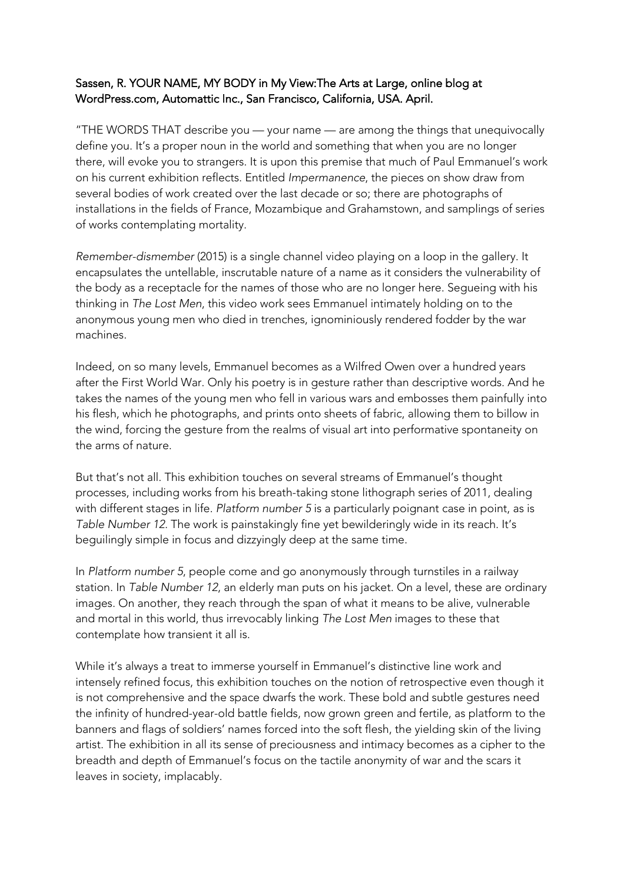## Sassen, R. YOUR NAME, MY BODY in My View:The Arts at Large, online blog at WordPress.com, Automattic Inc., San Francisco, California, USA. April.

"THE WORDS THAT describe you — your name — are among the things that unequivocally define you. It's a proper noun in the world and something that when you are no longer there, will evoke you to strangers. It is upon this premise that much of Paul Emmanuel's work on his current exhibition reflects. Entitled *Impermanence*, the pieces on show draw from several bodies of work created over the last decade or so; there are photographs of installations in the fields of France, Mozambique and Grahamstown, and samplings of series of works contemplating mortality.

*Remember-dismember* (2015) is a single channel video playing on a loop in the gallery. It encapsulates the untellable, inscrutable nature of a name as it considers the vulnerability of the body as a receptacle for the names of those who are no longer here. Segueing with his thinking in *The Lost Men*, this video work sees Emmanuel intimately holding on to the anonymous young men who died in trenches, ignominiously rendered fodder by the war machines.

Indeed, on so many levels, Emmanuel becomes as a Wilfred Owen over a hundred years after the First World War. Only his poetry is in gesture rather than descriptive words. And he takes the names of the young men who fell in various wars and embosses them painfully into his flesh, which he photographs, and prints onto sheets of fabric, allowing them to billow in the wind, forcing the gesture from the realms of visual art into performative spontaneity on the arms of nature.

But that's not all. This exhibition touches on several streams of Emmanuel's thought processes, including works from his breath-taking stone lithograph series of 2011, dealing with different stages in life. *Platform number 5* is a particularly poignant case in point, as is *Table Number 12*. The work is painstakingly fine yet bewilderingly wide in its reach. It's beguilingly simple in focus and dizzyingly deep at the same time.

In *Platform number 5*, people come and go anonymously through turnstiles in a railway station. In *Table Number 12*, an elderly man puts on his jacket. On a level, these are ordinary images. On another, they reach through the span of what it means to be alive, vulnerable and mortal in this world, thus irrevocably linking *The Lost Men* images to these that contemplate how transient it all is.

While it's always a treat to immerse yourself in Emmanuel's distinctive line work and intensely refined focus, this exhibition touches on the notion of retrospective even though it is not comprehensive and the space dwarfs the work. These bold and subtle gestures need the infinity of hundred-year-old battle fields, now grown green and fertile, as platform to the banners and flags of soldiers' names forced into the soft flesh, the yielding skin of the living artist. The exhibition in all its sense of preciousness and intimacy becomes as a cipher to the breadth and depth of Emmanuel's focus on the tactile anonymity of war and the scars it leaves in society, implacably.